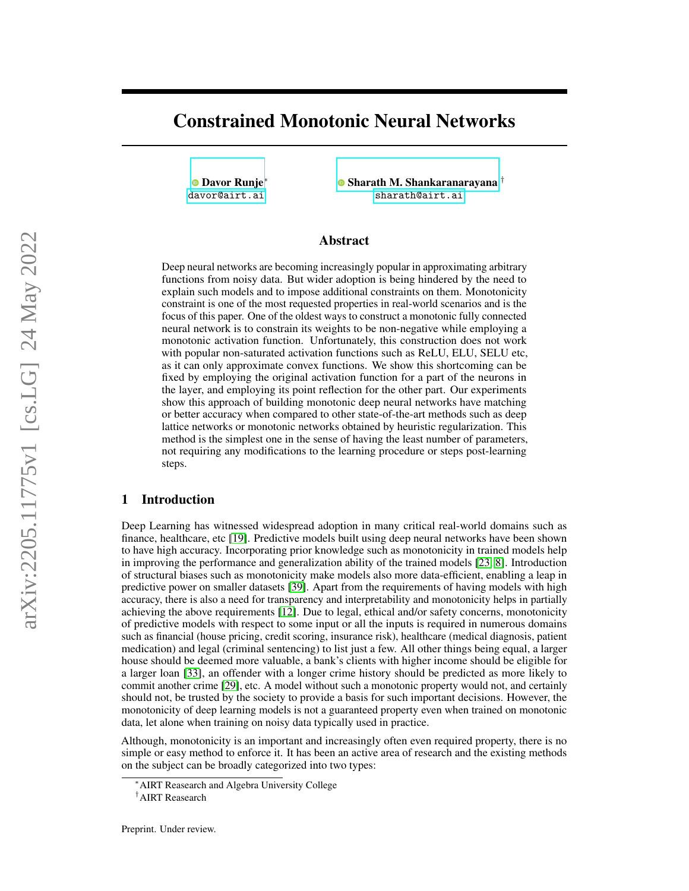# Constrained Monotonic Neural Networks

[Davor Runje](https://orcid.org/0000-0001-6912-9900)∗ <davor@airt.ai>

[Sharath M. Shankaranarayana](https://orcid.org/0000-0003-3482-4887) † <sharath@airt.ai>

## Abstract

Deep neural networks are becoming increasingly popular in approximating arbitrary functions from noisy data. But wider adoption is being hindered by the need to explain such models and to impose additional constraints on them. Monotonicity constraint is one of the most requested properties in real-world scenarios and is the focus of this paper. One of the oldest ways to construct a monotonic fully connected neural network is to constrain its weights to be non-negative while employing a monotonic activation function. Unfortunately, this construction does not work with popular non-saturated activation functions such as ReLU, ELU, SELU etc, as it can only approximate convex functions. We show this shortcoming can be fixed by employing the original activation function for a part of the neurons in the layer, and employing its point reflection for the other part. Our experiments show this approach of building monotonic deep neural networks have matching or better accuracy when compared to other state-of-the-art methods such as deep lattice networks or monotonic networks obtained by heuristic regularization. This method is the simplest one in the sense of having the least number of parameters, not requiring any modifications to the learning procedure or steps post-learning steps.

## 1 Introduction

Deep Learning has witnessed widespread adoption in many critical real-world domains such as finance, healthcare, etc [\[19\]](#page-9-0). Predictive models built using deep neural networks have been shown to have high accuracy. Incorporating prior knowledge such as monotonicity in trained models help in improving the performance and generalization ability of the trained models [\[23,](#page-10-0) [8\]](#page-9-1). Introduction of structural biases such as monotonicity make models also more data-efficient, enabling a leap in predictive power on smaller datasets [\[39\]](#page-10-1). Apart from the requirements of having models with high accuracy, there is also a need for transparency and interpretability and monotonicity helps in partially achieving the above requirements [\[12\]](#page-9-2). Due to legal, ethical and/or safety concerns, monotonicity of predictive models with respect to some input or all the inputs is required in numerous domains such as financial (house pricing, credit scoring, insurance risk), healthcare (medical diagnosis, patient medication) and legal (criminal sentencing) to list just a few. All other things being equal, a larger house should be deemed more valuable, a bank's clients with higher income should be eligible for a larger loan [\[33\]](#page-10-2), an offender with a longer crime history should be predicted as more likely to commit another crime [\[29\]](#page-10-3), etc. A model without such a monotonic property would not, and certainly should not, be trusted by the society to provide a basis for such important decisions. However, the monotonicity of deep learning models is not a guaranteed property even when trained on monotonic data, let alone when training on noisy data typically used in practice.

Although, monotonicity is an important and increasingly often even required property, there is no simple or easy method to enforce it. It has been an active area of research and the existing methods on the subject can be broadly categorized into two types:

<sup>∗</sup>AIRT Reasearch and Algebra University College

<sup>†</sup>AIRT Reasearch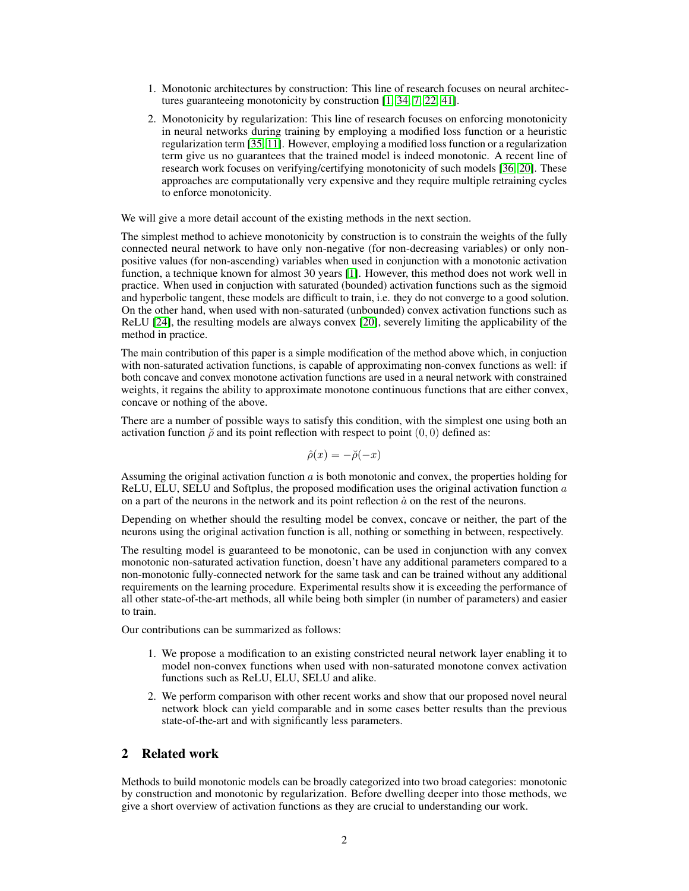- 1. Monotonic architectures by construction: This line of research focuses on neural architectures guaranteeing monotonicity by construction [\[1,](#page-9-3) [34,](#page-10-4) [7,](#page-9-4) [22,](#page-10-5) [41\]](#page-10-6).
- 2. Monotonicity by regularization: This line of research focuses on enforcing monotonicity in neural networks during training by employing a modified loss function or a heuristic regularization term [\[35,](#page-10-7) [11\]](#page-9-5). However, employing a modified loss function or a regularization term give us no guarantees that the trained model is indeed monotonic. A recent line of research work focuses on verifying/certifying monotonicity of such models [\[36,](#page-10-8) [20\]](#page-9-6). These approaches are computationally very expensive and they require multiple retraining cycles to enforce monotonicity.

We will give a more detail account of the existing methods in the next section.

The simplest method to achieve monotonicity by construction is to constrain the weights of the fully connected neural network to have only non-negative (for non-decreasing variables) or only nonpositive values (for non-ascending) variables when used in conjunction with a monotonic activation function, a technique known for almost 30 years [\[1\]](#page-9-3). However, this method does not work well in practice. When used in conjuction with saturated (bounded) activation functions such as the sigmoid and hyperbolic tangent, these models are difficult to train, i.e. they do not converge to a good solution. On the other hand, when used with non-saturated (unbounded) convex activation functions such as ReLU [\[24\]](#page-10-9), the resulting models are always convex [\[20\]](#page-9-6), severely limiting the applicability of the method in practice.

The main contribution of this paper is a simple modification of the method above which, in conjuction with non-saturated activation functions, is capable of approximating non-convex functions as well: if both concave and convex monotone activation functions are used in a neural network with constrained weights, it regains the ability to approximate monotone continuous functions that are either convex, concave or nothing of the above.

There are a number of possible ways to satisfy this condition, with the simplest one using both an activation function  $\breve{\rho}$  and its point reflection with respect to point  $(0, 0)$  defined as:

$$
\hat{\rho}(x) = -\breve{\rho}(-x)
$$

Assuming the original activation function a is both monotonic and convex, the properties holding for ReLU, ELU, SELU and Softplus, the proposed modification uses the original activation function  $a$ on a part of the neurons in the network and its point reflection  $\dot{a}$  on the rest of the neurons.

Depending on whether should the resulting model be convex, concave or neither, the part of the neurons using the original activation function is all, nothing or something in between, respectively.

The resulting model is guaranteed to be monotonic, can be used in conjunction with any convex monotonic non-saturated activation function, doesn't have any additional parameters compared to a non-monotonic fully-connected network for the same task and can be trained without any additional requirements on the learning procedure. Experimental results show it is exceeding the performance of all other state-of-the-art methods, all while being both simpler (in number of parameters) and easier to train.

Our contributions can be summarized as follows:

- 1. We propose a modification to an existing constricted neural network layer enabling it to model non-convex functions when used with non-saturated monotone convex activation functions such as ReLU, ELU, SELU and alike.
- 2. We perform comparison with other recent works and show that our proposed novel neural network block can yield comparable and in some cases better results than the previous state-of-the-art and with significantly less parameters.

# 2 Related work

Methods to build monotonic models can be broadly categorized into two broad categories: monotonic by construction and monotonic by regularization. Before dwelling deeper into those methods, we give a short overview of activation functions as they are crucial to understanding our work.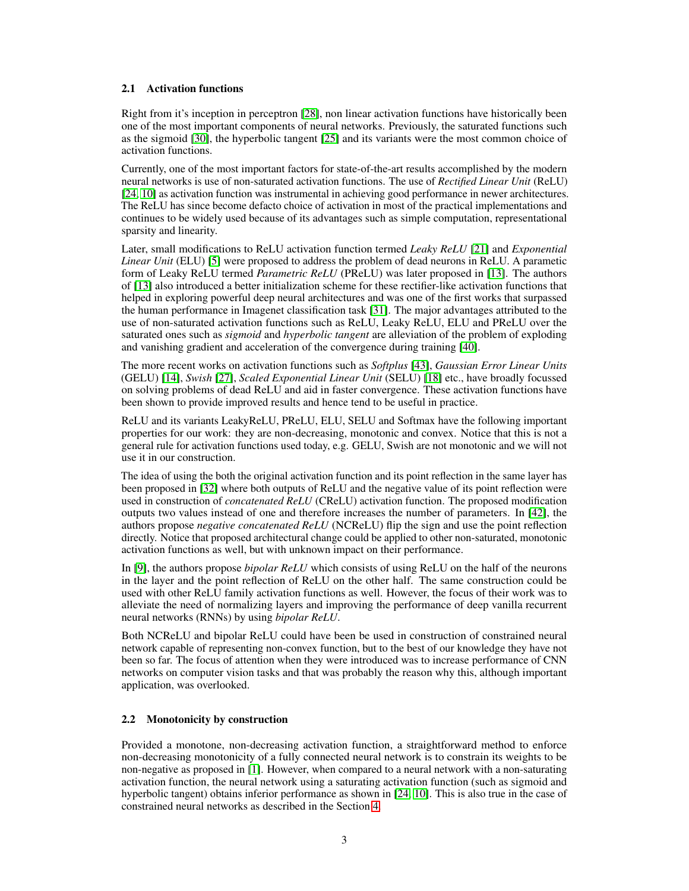### 2.1 Activation functions

Right from it's inception in perceptron [\[28\]](#page-10-10), non linear activation functions have historically been one of the most important components of neural networks. Previously, the saturated functions such as the sigmoid [\[30\]](#page-10-11), the hyperbolic tangent [\[25\]](#page-10-12) and its variants were the most common choice of activation functions.

Currently, one of the most important factors for state-of-the-art results accomplished by the modern neural networks is use of non-saturated activation functions. The use of *Rectified Linear Unit* (ReLU) [\[24,](#page-10-9) [10\]](#page-9-7) as activation function was instrumental in achieving good performance in newer architectures. The ReLU has since become defacto choice of activation in most of the practical implementations and continues to be widely used because of its advantages such as simple computation, representational sparsity and linearity.

Later, small modifications to ReLU activation function termed *Leaky ReLU* [\[21\]](#page-10-13) and *Exponential Linear Unit* (ELU) [\[5\]](#page-9-8) were proposed to address the problem of dead neurons in ReLU. A parametic form of Leaky ReLU termed *Parametric ReLU* (PReLU) was later proposed in [\[13\]](#page-9-9). The authors of [\[13\]](#page-9-9) also introduced a better initialization scheme for these rectifier-like activation functions that helped in exploring powerful deep neural architectures and was one of the first works that surpassed the human performance in Imagenet classification task [\[31\]](#page-10-14). The major advantages attributed to the use of non-saturated activation functions such as ReLU, Leaky ReLU, ELU and PReLU over the saturated ones such as *sigmoid* and *hyperbolic tangent* are alleviation of the problem of exploding and vanishing gradient and acceleration of the convergence during training [\[40\]](#page-10-15).

The more recent works on activation functions such as *Softplus* [\[43\]](#page-10-16), *Gaussian Error Linear Units* (GELU) [\[14\]](#page-9-10), *Swish* [\[27\]](#page-10-17), *Scaled Exponential Linear Unit* (SELU) [\[18\]](#page-9-11) etc., have broadly focussed on solving problems of dead ReLU and aid in faster convergence. These activation functions have been shown to provide improved results and hence tend to be useful in practice.

ReLU and its variants LeakyReLU, PReLU, ELU, SELU and Softmax have the following important properties for our work: they are non-decreasing, monotonic and convex. Notice that this is not a general rule for activation functions used today, e.g. GELU, Swish are not monotonic and we will not use it in our construction.

The idea of using the both the original activation function and its point reflection in the same layer has been proposed in [\[32\]](#page-10-18) where both outputs of ReLU and the negative value of its point reflection were used in construction of *concatenated ReLU* (CReLU) activation function. The proposed modification outputs two values instead of one and therefore increases the number of parameters. In [\[42\]](#page-10-19), the authors propose *negative concatenated ReLU* (NCReLU) flip the sign and use the point reflection directly. Notice that proposed architectural change could be applied to other non-saturated, monotonic activation functions as well, but with unknown impact on their performance.

In [\[9\]](#page-9-12), the authors propose *bipolar ReLU* which consists of using ReLU on the half of the neurons in the layer and the point reflection of ReLU on the other half. The same construction could be used with other ReLU family activation functions as well. However, the focus of their work was to alleviate the need of normalizing layers and improving the performance of deep vanilla recurrent neural networks (RNNs) by using *bipolar ReLU*.

Both NCReLU and bipolar ReLU could have been be used in construction of constrained neural network capable of representing non-convex function, but to the best of our knowledge they have not been so far. The focus of attention when they were introduced was to increase performance of CNN networks on computer vision tasks and that was probably the reason why this, although important application, was overlooked.

## 2.2 Monotonicity by construction

Provided a monotone, non-decreasing activation function, a straightforward method to enforce non-decreasing monotonicity of a fully connected neural network is to constrain its weights to be non-negative as proposed in [\[1\]](#page-9-3). However, when compared to a neural network with a non-saturating activation function, the neural network using a saturating activation function (such as sigmoid and hyperbolic tangent) obtains inferior performance as shown in [\[24,](#page-10-9) [10\]](#page-9-7). This is also true in the case of constrained neural networks as described in the Section [4.](#page-7-0)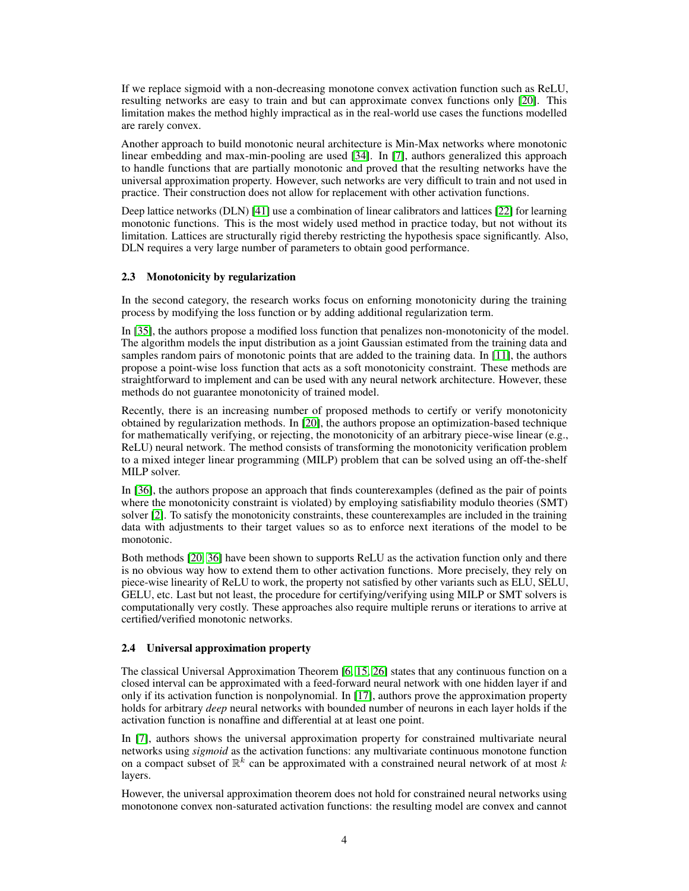If we replace sigmoid with a non-decreasing monotone convex activation function such as ReLU, resulting networks are easy to train and but can approximate convex functions only [\[20\]](#page-9-6). This limitation makes the method highly impractical as in the real-world use cases the functions modelled are rarely convex.

Another approach to build monotonic neural architecture is Min-Max networks where monotonic linear embedding and max-min-pooling are used [\[34\]](#page-10-4). In [\[7\]](#page-9-4), authors generalized this approach to handle functions that are partially monotonic and proved that the resulting networks have the universal approximation property. However, such networks are very difficult to train and not used in practice. Their construction does not allow for replacement with other activation functions.

Deep lattice networks (DLN) [\[41\]](#page-10-6) use a combination of linear calibrators and lattices [\[22\]](#page-10-5) for learning monotonic functions. This is the most widely used method in practice today, but not without its limitation. Lattices are structurally rigid thereby restricting the hypothesis space significantly. Also, DLN requires a very large number of parameters to obtain good performance.

### 2.3 Monotonicity by regularization

In the second category, the research works focus on enforning monotonicity during the training process by modifying the loss function or by adding additional regularization term.

In [\[35\]](#page-10-7), the authors propose a modified loss function that penalizes non-monotonicity of the model. The algorithm models the input distribution as a joint Gaussian estimated from the training data and samples random pairs of monotonic points that are added to the training data. In [\[11\]](#page-9-5), the authors propose a point-wise loss function that acts as a soft monotonicity constraint. These methods are straightforward to implement and can be used with any neural network architecture. However, these methods do not guarantee monotonicity of trained model.

Recently, there is an increasing number of proposed methods to certify or verify monotonicity obtained by regularization methods. In [\[20\]](#page-9-6), the authors propose an optimization-based technique for mathematically verifying, or rejecting, the monotonicity of an arbitrary piece-wise linear (e.g., ReLU) neural network. The method consists of transforming the monotonicity verification problem to a mixed integer linear programming (MILP) problem that can be solved using an off-the-shelf MILP solver.

In [\[36\]](#page-10-8), the authors propose an approach that finds counterexamples (defined as the pair of points where the monotonicity constraint is violated) by employing satisfiability modulo theories (SMT) solver [\[2\]](#page-9-13). To satisfy the monotonicity constraints, these counterexamples are included in the training data with adjustments to their target values so as to enforce next iterations of the model to be monotonic.

Both methods [\[20,](#page-9-6) [36\]](#page-10-8) have been shown to supports ReLU as the activation function only and there is no obvious way how to extend them to other activation functions. More precisely, they rely on piece-wise linearity of ReLU to work, the property not satisfied by other variants such as ELU, SELU, GELU, etc. Last but not least, the procedure for certifying/verifying using MILP or SMT solvers is computationally very costly. These approaches also require multiple reruns or iterations to arrive at certified/verified monotonic networks.

## 2.4 Universal approximation property

The classical Universal Approximation Theorem [\[6,](#page-9-14) [15,](#page-9-15) [26\]](#page-10-20) states that any continuous function on a closed interval can be approximated with a feed-forward neural network with one hidden layer if and only if its activation function is nonpolynomial. In [\[17\]](#page-9-16), authors prove the approximation property holds for arbitrary *deep* neural networks with bounded number of neurons in each layer holds if the activation function is nonaffine and differential at at least one point.

In [\[7\]](#page-9-4), authors shows the universal approximation property for constrained multivariate neural networks using *sigmoid* as the activation functions: any multivariate continuous monotone function on a compact subset of  $\mathbb{R}^k$  can be approximated with a constrained neural network of at most k layers.

However, the universal approximation theorem does not hold for constrained neural networks using monotonone convex non-saturated activation functions: the resulting model are convex and cannot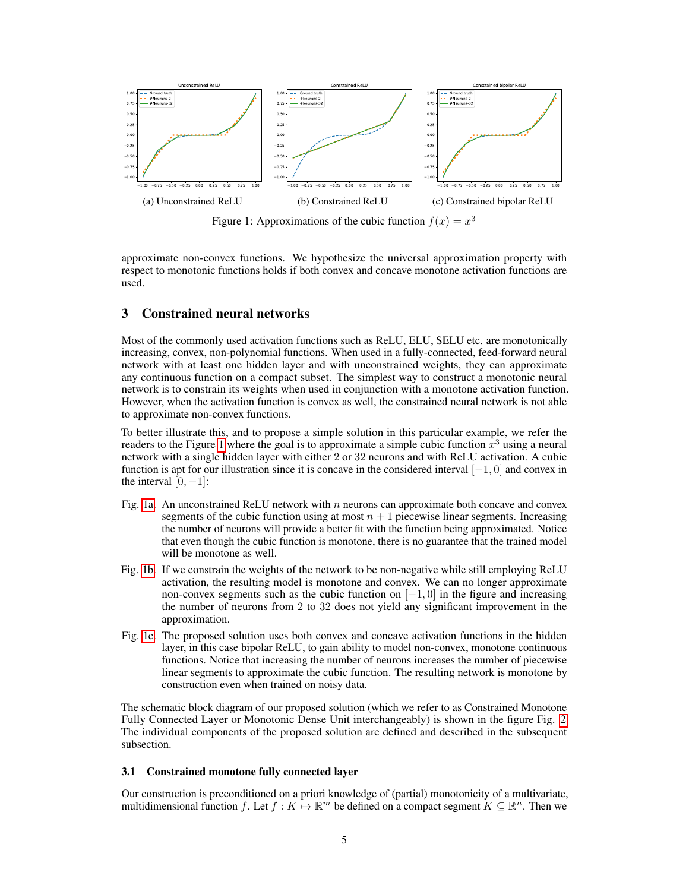<span id="page-4-0"></span>

Figure 1: Approximations of the cubic function  $f(x) = x^3$ 

approximate non-convex functions. We hypothesize the universal approximation property with respect to monotonic functions holds if both convex and concave monotone activation functions are used.

# 3 Constrained neural networks

Most of the commonly used activation functions such as ReLU, ELU, SELU etc. are monotonically increasing, convex, non-polynomial functions. When used in a fully-connected, feed-forward neural network with at least one hidden layer and with unconstrained weights, they can approximate any continuous function on a compact subset. The simplest way to construct a monotonic neural network is to constrain its weights when used in conjunction with a monotone activation function. However, when the activation function is convex as well, the constrained neural network is not able to approximate non-convex functions.

To better illustrate this, and to propose a simple solution in this particular example, we refer the readers to the Figure [1](#page-4-0) where the goal is to approximate a simple cubic function  $\hat{x}^3$  using a neural network with a single hidden layer with either 2 or 32 neurons and with ReLU activation. A cubic function is apt for our illustration since it is concave in the considered interval  $[-1, 0]$  and convex in the interval  $[0, -1]$ :

- Fig. [1a.](#page-4-0) An unconstrained ReLU network with  $n$  neurons can approximate both concave and convex segments of the cubic function using at most  $n + 1$  piecewise linear segments. Increasing the number of neurons will provide a better fit with the function being approximated. Notice that even though the cubic function is monotone, there is no guarantee that the trained model will be monotone as well.
- Fig. [1b.](#page-4-0) If we constrain the weights of the network to be non-negative while still employing ReLU activation, the resulting model is monotone and convex. We can no longer approximate non-convex segments such as the cubic function on  $[-1, 0]$  in the figure and increasing the number of neurons from 2 to 32 does not yield any significant improvement in the approximation.
- Fig. [1c.](#page-4-0) The proposed solution uses both convex and concave activation functions in the hidden layer, in this case bipolar ReLU, to gain ability to model non-convex, monotone continuous functions. Notice that increasing the number of neurons increases the number of piecewise linear segments to approximate the cubic function. The resulting network is monotone by construction even when trained on noisy data.

The schematic block diagram of our proposed solution (which we refer to as Constrained Monotone Fully Connected Layer or Monotonic Dense Unit interchangeably) is shown in the figure Fig. [2.](#page-5-0) The individual components of the proposed solution are defined and described in the subsequent subsection.

### 3.1 Constrained monotone fully connected layer

Our construction is preconditioned on a priori knowledge of (partial) monotonicity of a multivariate, multidimensional function f. Let  $f : K \to \mathbb{R}^m$  be defined on a compact segment  $K \subseteq \mathbb{R}^n$ . Then we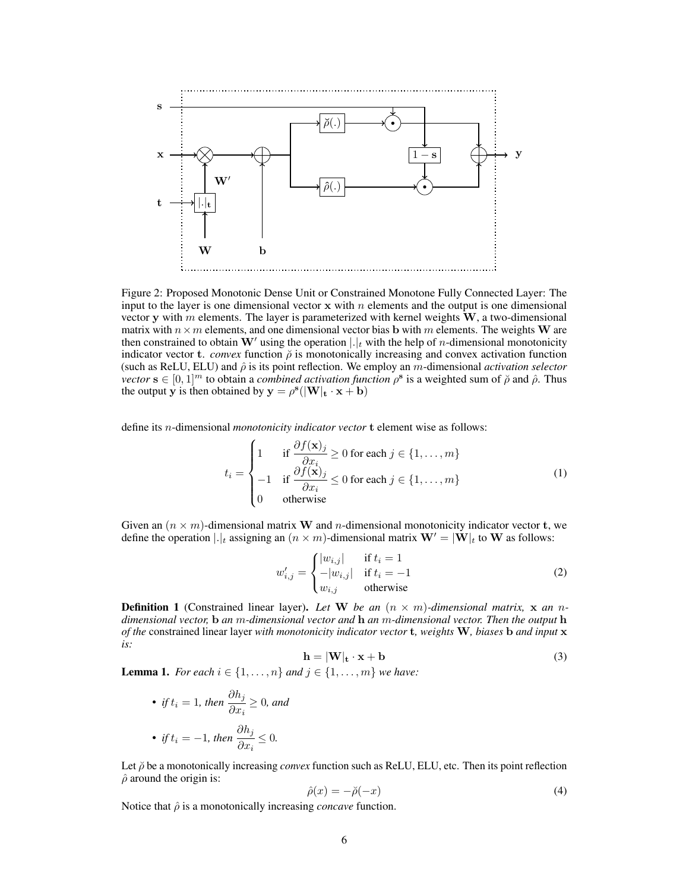<span id="page-5-0"></span>

Figure 2: Proposed Monotonic Dense Unit or Constrained Monotone Fully Connected Layer: The input to the layer is one dimensional vector  $x$  with n elements and the output is one dimensional vector y with m elements. The layer is parameterized with kernel weights  $W$ , a two-dimensional matrix with  $n \times m$  elements, and one dimensional vector bias b with m elements. The weights W are then constrained to obtain W' using the operation  $|.|_t$  with the help of *n*-dimensional monotonicity indicator vector t. *convex* function  $\tilde{\rho}$  is monotonically increasing and convex activation function (such as ReLU, ELU) and  $\hat{\rho}$  is its point reflection. We employ an m-dimensional *activation selector vector*  $\mathbf{s} \in [0,1]^m$  to obtain a *combined activation function*  $\rho^{\mathbf{s}}$  is a weighted sum of  $\tilde{\rho}$  and  $\hat{\rho}$ . Thus the output y is then obtained by  $y = \rho^s(|W|_t \cdot x + b)$ 

define its n-dimensional *monotonicity indicator vector* t element wise as follows:

$$
t_i = \begin{cases} 1 & \text{if } \frac{\partial f(\mathbf{x})_j}{\partial x_i} \ge 0 \text{ for each } j \in \{1, ..., m\} \\ -1 & \text{if } \frac{\partial f(\mathbf{x})_j}{\partial x_i} \le 0 \text{ for each } j \in \{1, ..., m\} \\ 0 & \text{otherwise} \end{cases}
$$
(1)

Given an  $(n \times m)$ -dimensional matrix W and n-dimensional monotonicity indicator vector t, we define the operation  $|.|_t$  assigning an  $(n \times m)$ -dimensional matrix  $\mathbf{W}' = |\mathbf{W}|_t$  to W as follows:

$$
w'_{i,j} = \begin{cases} |w_{i,j}| & \text{if } t_i = 1\\ -|w_{i,j}| & \text{if } t_i = -1\\ w_{i,j} & \text{otherwise} \end{cases}
$$
 (2)

**Definition 1** (Constrained linear layer). Let W be an  $(n \times m)$ -dimensional matrix, x an n*dimensional vector,* b *an* m*-dimensional vector and* h *an* m*-dimensional vector. Then the output* h *of the* constrained linear layer *with monotonicity indicator vector* t*, weights* W*, biases* b *and input* x *is:*

$$
\mathbf{h} = |\mathbf{W}|_{\mathbf{t}} \cdot \mathbf{x} + \mathbf{b} \tag{3}
$$

<span id="page-5-1"></span>**Lemma 1.** *For each*  $i \in \{1, ..., n\}$  *and*  $j \in \{1, ..., m\}$  *we have:* 

• *if*  $t_i = 1$ *, then*  $\frac{\partial h_j}{\partial x}$  $\frac{\partial f(x_i)}{\partial x_i} \geq 0$ , and • *if*  $t_i = -1$ *, then*  $\frac{\partial h_j}{\partial x_i}$  $\frac{\partial x_i}{\partial x_i} \leq 0.$ 

Let  $\breve{\rho}$  be a monotonically increasing *convex* function such as ReLU, ELU, etc. Then its point reflection  $\hat{\rho}$  around the origin is:

$$
\hat{\rho}(x) = -\breve{\rho}(-x) \tag{4}
$$

Notice that  $\hat{\rho}$  is a monotonically increasing *concave* function.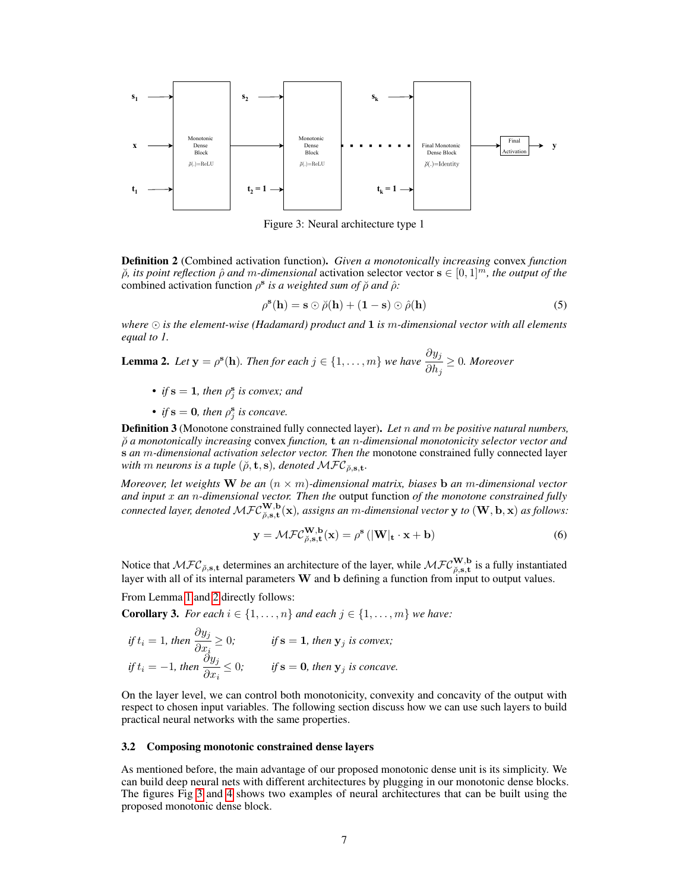<span id="page-6-1"></span>

Figure 3: Neural architecture type 1

Definition 2 (Combined activation function). *Given a monotonically increasing* convex *function*  $\breve{\rho}$ , its point reflection  $\hat{\rho}$  and m-dimensional activation selector vector  $s \in [0,1]^m$ , the output of the combined activation function  $\rho^s$  *is a weighted sum of*  $\tilde{\rho}$  *and*  $\hat{\rho}$ *:* 

$$
\rho^{\mathbf{s}}(\mathbf{h}) = \mathbf{s} \odot \breve{\rho}(\mathbf{h}) + (\mathbf{1} - \mathbf{s}) \odot \hat{\rho}(\mathbf{h})
$$
\n(5)

*where is the element-wise (Hadamard) product and* 1 *is* m*-dimensional vector with all elements equal to 1.*

<span id="page-6-0"></span>**Lemma 2.** Let 
$$
y = \rho^{s}(h)
$$
. Then for each  $j \in \{1, ..., m\}$  we have  $\frac{\partial y_{j}}{\partial h_{j}} \geq 0$ . Moreover

- *if*  $s = 1$ *, then*  $\rho_j^s$  *is convex; and*
- *if*  $s = 0$ *, then*  $\rho_j^s$  *is concave.*

Definition 3 (Monotone constrained fully connected layer). *Let* n *and* m *be positive natural numbers,* ρ˘ *a monotonically increasing* convex *function,* t *an* n*-dimensional monotonicity selector vector and* s *an* m*-dimensional activation selector vector. Then the* monotone constrained fully connected layer *with* m neurons is a tuple  $(\check{\rho}, \mathbf{t}, \mathbf{s})$ , denoted  $\mathcal{MFC}_{\check{\rho}, \mathbf{s}, \mathbf{t}}$ .

*Moreover, let weights* W *be an* (n × m)*-dimensional matrix, biases* b *an* m*-dimensional vector and input* x *an* n*-dimensional vector. Then the* output function *of the monotone constrained fully*  $connected$  layer, denoted  $\mathcal{MFC}_{\breve{\rho},\mathbf{s},\mathbf{t}}^{\mathbf{W},\mathbf{b}}(\mathbf{x})$ , assigns an  $m$ -dimensional vector  $\mathbf{y}$  to  $(\mathbf{W},\mathbf{b},\mathbf{x})$  as follows:

$$
\mathbf{y} = \mathcal{M}\mathcal{F}\mathcal{C}_{\breve{\rho},\mathbf{s},\mathbf{t}}^{\mathbf{W},\mathbf{b}}(\mathbf{x}) = \rho^{\mathbf{s}}\left(|\mathbf{W}|_{\mathbf{t}} \cdot \mathbf{x} + \mathbf{b}\right)
$$
(6)

Notice that  $\mathcal{MFC}_{\breve{\rho},\mathbf{s},\mathbf{t}}$  determines an architecture of the layer, while  $\mathcal{MFC}_{\breve{\rho},\mathbf{s},\mathbf{t}}^{\mathbf{W},\mathbf{b}}$  is a fully instantiated layer with all of its internal parameters  $W$  and  $b$  defining a function from input to output values.

From Lemma [1](#page-5-1) and [2](#page-6-0) directly follows:

**Corollary 3.** *For each*  $i \in \{1, \ldots, n\}$  *and each*  $j \in \{1, \ldots, m\}$  *we have:* 

$$
if t_i = 1, then \frac{\partial y_j}{\partial x_i} \ge 0; \qquad \text{if } s = 1, then y_j \text{ is convex};
$$
  

$$
if t_i = -1, then \frac{\partial y_j}{\partial x_i} \le 0; \qquad \text{if } s = 0, then y_j \text{ is concave}.
$$

On the layer level, we can control both monotonicity, convexity and concavity of the output with respect to chosen input variables. The following section discuss how we can use such layers to build practical neural networks with the same properties.

#### 3.2 Composing monotonic constrained dense layers

As mentioned before, the main advantage of our proposed monotonic dense unit is its simplicity. We can build deep neural nets with different architectures by plugging in our monotonic dense blocks. The figures Fig [3](#page-6-1) and [4](#page-7-1) shows two examples of neural architectures that can be built using the proposed monotonic dense block.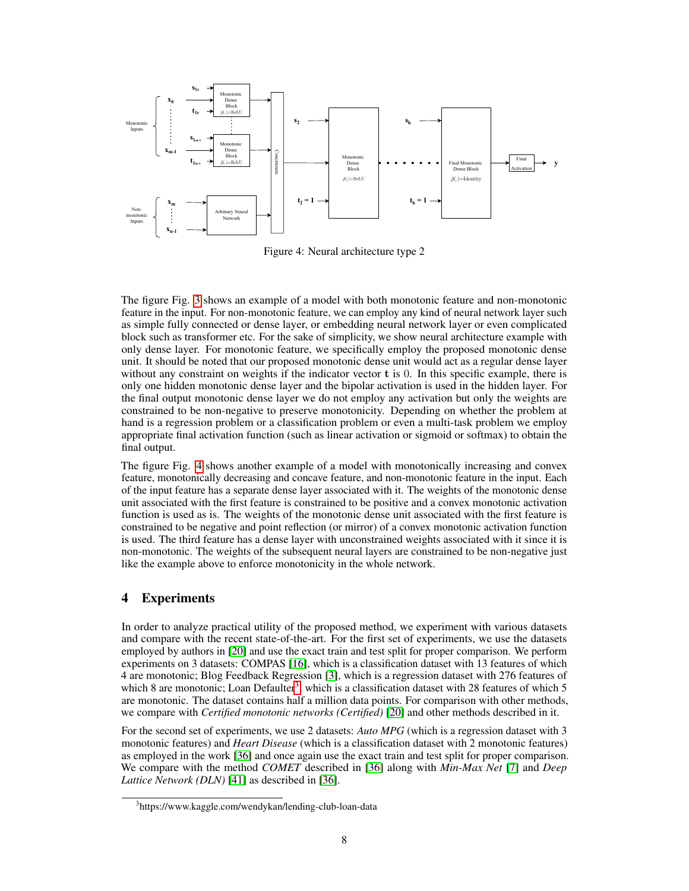<span id="page-7-1"></span>

Figure 4: Neural architecture type 2

The figure Fig. [3](#page-6-1) shows an example of a model with both monotonic feature and non-monotonic feature in the input. For non-monotonic feature, we can employ any kind of neural network layer such as simple fully connected or dense layer, or embedding neural network layer or even complicated block such as transformer etc. For the sake of simplicity, we show neural architecture example with only dense layer. For monotonic feature, we specifically employ the proposed monotonic dense unit. It should be noted that our proposed monotonic dense unit would act as a regular dense layer without any constraint on weights if the indicator vector t is 0. In this specific example, there is only one hidden monotonic dense layer and the bipolar activation is used in the hidden layer. For the final output monotonic dense layer we do not employ any activation but only the weights are constrained to be non-negative to preserve monotonicity. Depending on whether the problem at hand is a regression problem or a classification problem or even a multi-task problem we employ appropriate final activation function (such as linear activation or sigmoid or softmax) to obtain the final output.

The figure Fig. [4](#page-7-1) shows another example of a model with monotonically increasing and convex feature, monotonically decreasing and concave feature, and non-monotonic feature in the input. Each of the input feature has a separate dense layer associated with it. The weights of the monotonic dense unit associated with the first feature is constrained to be positive and a convex monotonic activation function is used as is. The weights of the monotonic dense unit associated with the first feature is constrained to be negative and point reflection (or mirror) of a convex monotonic activation function is used. The third feature has a dense layer with unconstrained weights associated with it since it is non-monotonic. The weights of the subsequent neural layers are constrained to be non-negative just like the example above to enforce monotonicity in the whole network.

# <span id="page-7-0"></span>4 Experiments

In order to analyze practical utility of the proposed method, we experiment with various datasets and compare with the recent state-of-the-art. For the first set of experiments, we use the datasets employed by authors in [\[20\]](#page-9-6) and use the exact train and test split for proper comparison. We perform experiments on 3 datasets: COMPAS [\[16\]](#page-9-17), which is a classification dataset with 13 features of which 4 are monotonic; Blog Feedback Regression [\[3\]](#page-9-18), which is a regression dataset with 276 features of which 8 are monotonic; Loan Defaulter<sup>[3](#page-7-2)</sup>, which is a classification dataset with 28 features of which 5 are monotonic. The dataset contains half a million data points. For comparison with other methods, we compare with *Certified monotonic networks (Certified)* [\[20\]](#page-9-6) and other methods described in it.

For the second set of experiments, we use 2 datasets: *Auto MPG* (which is a regression dataset with 3 monotonic features) and *Heart Disease* (which is a classification dataset with 2 monotonic features) as employed in the work [\[36\]](#page-10-8) and once again use the exact train and test split for proper comparison. We compare with the method *COMET* described in [\[36\]](#page-10-8) along with *Min-Max Net* [\[7\]](#page-9-4) and *Deep Lattice Network (DLN)* [\[41\]](#page-10-6) as described in [\[36\]](#page-10-8).

<span id="page-7-2"></span><sup>3</sup> https://www.kaggle.com/wendykan/lending-club-loan-data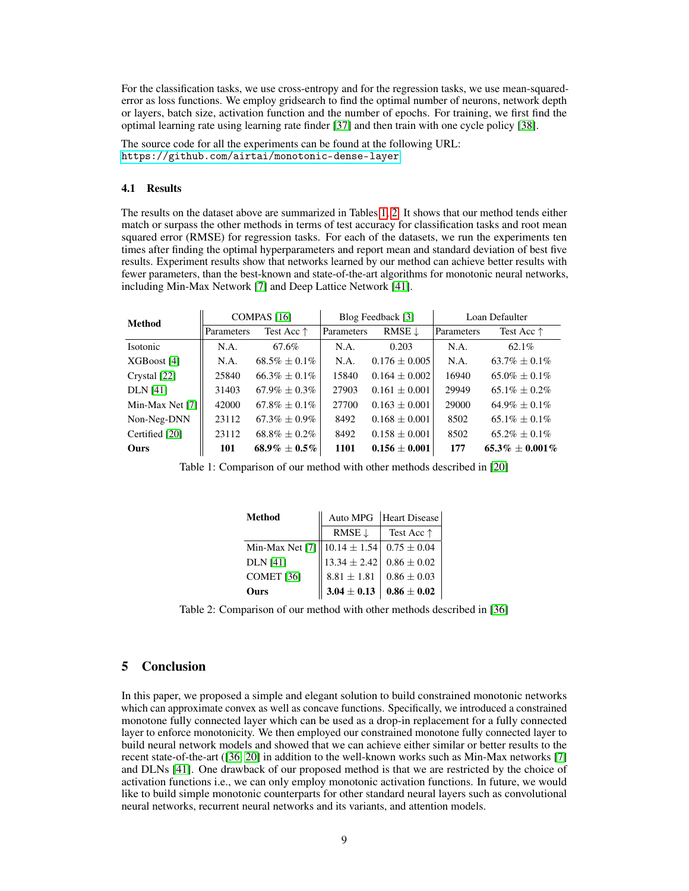For the classification tasks, we use cross-entropy and for the regression tasks, we use mean-squarederror as loss functions. We employ gridsearch to find the optimal number of neurons, network depth or layers, batch size, activation function and the number of epochs. For training, we first find the optimal learning rate using learning rate finder [\[37\]](#page-10-21) and then train with one cycle policy [\[38\]](#page-10-22).

The source code for all the experiments can be found at the following URL: <https://github.com/airtai/monotonic-dense-layer>

### 4.1 Results

The results on the dataset above are summarized in Tables [1,](#page-8-0) [2.](#page-8-1) It shows that our method tends either match or surpass the other methods in terms of test accuracy for classification tasks and root mean squared error (RMSE) for regression tasks. For each of the datasets, we run the experiments ten times after finding the optimal hyperparameters and report mean and standard deviation of best five results. Experiment results show that networks learned by our method can achieve better results with fewer parameters, than the best-known and state-of-the-art algorithms for monotonic neural networks, including Min-Max Network [\[7\]](#page-9-4) and Deep Lattice Network [\[41\]](#page-10-6).

<span id="page-8-0"></span>

| Method          | COMPAS <sub>[16]</sub> |                     | Blog Feedback [3] |                   | Loan Defaulter |                     |
|-----------------|------------------------|---------------------|-------------------|-------------------|----------------|---------------------|
|                 | Parameters             | Test Acc $\uparrow$ | Parameters        | RMSE $\downarrow$ | Parameters     | Test Acc $\uparrow$ |
| Isotonic        | N.A.                   | 67.6%               | N.A.              | 0.203             | N.A.           | $62.1\%$            |
| XGBoost [4]     | N.A.                   | $68.5\% \pm 0.1\%$  | N.A.              | $0.176 \pm 0.005$ | N.A.           | $63.7\% \pm 0.1\%$  |
| Crystal [22]    | 25840                  | $66.3\% + 0.1\%$    | 15840             | $0.164 \pm 0.002$ | 16940          | $65.0\% + 0.1\%$    |
| <b>DLN</b> [41] | 31403                  | $67.9\% \pm 0.3\%$  | 27903             | $0.161 \pm 0.001$ | 29949          | $65.1\% + 0.2\%$    |
| Min-Max Net [7] | 42000                  | $67.8\% + 0.1\%$    | 27700             | $0.163 \pm 0.001$ | 29000          | $64.9\% \pm 0.1\%$  |
| Non-Neg-DNN     | 23112                  | $67.3\% \pm 0.9\%$  | 8492              | $0.168 \pm 0.001$ | 8502           | $65.1\% + 0.1\%$    |
| Certified [20]  | 23112                  | $68.8\% + 0.2\%$    | 8492              | $0.158 \pm 0.001$ | 8502           | $65.2\% + 0.1\%$    |
| Ours            | 101                    | $68.9\% + 0.5\%$    | 1101              | $0.156 \pm 0.001$ | 177            | $65.3\% + 0.001\%$  |

<span id="page-8-1"></span>Table 1: Comparison of our method with other methods described in [\[20\]](#page-9-6)

| <b>Method</b>                                         | Auto MPG          | Heart Disease       |  |
|-------------------------------------------------------|-------------------|---------------------|--|
|                                                       | RMSE $\downarrow$ | Test Acc $\uparrow$ |  |
| Min-Max Net [7]    10.14 $\pm$ 1.54   0.75 $\pm$ 0.04 |                   |                     |  |
| <b>DLN</b> [41]                                       | $13.34 \pm 2.42$  | $0.86 \pm 0.02$     |  |
| COMET <sub>[36]</sub>                                 | $8.81 \pm 1.81$   | $0.86 \pm 0.03$     |  |
| Ours                                                  | $3.04 \pm 0.13$   | $0.86 \pm 0.02$     |  |

Table 2: Comparison of our method with other methods described in [\[36\]](#page-10-8)

# 5 Conclusion

In this paper, we proposed a simple and elegant solution to build constrained monotonic networks which can approximate convex as well as concave functions. Specifically, we introduced a constrained monotone fully connected layer which can be used as a drop-in replacement for a fully connected layer to enforce monotonicity. We then employed our constrained monotone fully connected layer to build neural network models and showed that we can achieve either similar or better results to the recent state-of-the-art ([\[36,](#page-10-8) [20\]](#page-9-6) in addition to the well-known works such as Min-Max networks [\[7\]](#page-9-4) and DLNs [\[41\]](#page-10-6). One drawback of our proposed method is that we are restricted by the choice of activation functions i.e., we can only employ monotonic activation functions. In future, we would like to build simple monotonic counterparts for other standard neural layers such as convolutional neural networks, recurrent neural networks and its variants, and attention models.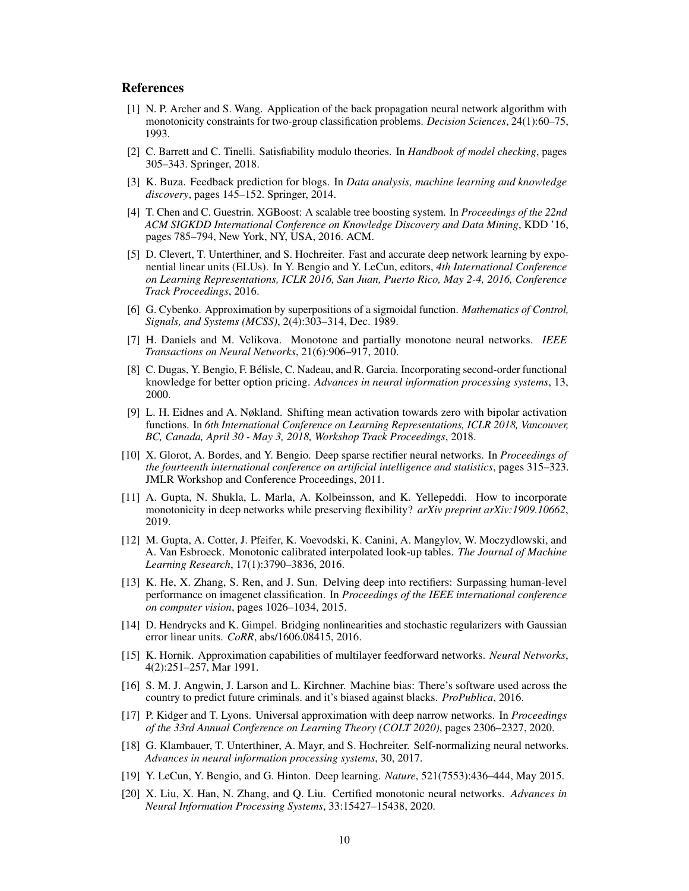## References

- <span id="page-9-3"></span>[1] N. P. Archer and S. Wang. Application of the back propagation neural network algorithm with monotonicity constraints for two-group classification problems. *Decision Sciences*, 24(1):60–75, 1993.
- <span id="page-9-13"></span>[2] C. Barrett and C. Tinelli. Satisfiability modulo theories. In *Handbook of model checking*, pages 305–343. Springer, 2018.
- <span id="page-9-18"></span>[3] K. Buza. Feedback prediction for blogs. In *Data analysis, machine learning and knowledge discovery*, pages 145–152. Springer, 2014.
- <span id="page-9-19"></span>[4] T. Chen and C. Guestrin. XGBoost: A scalable tree boosting system. In *Proceedings of the 22nd ACM SIGKDD International Conference on Knowledge Discovery and Data Mining*, KDD '16, pages 785–794, New York, NY, USA, 2016. ACM.
- <span id="page-9-8"></span>[5] D. Clevert, T. Unterthiner, and S. Hochreiter. Fast and accurate deep network learning by exponential linear units (ELUs). In Y. Bengio and Y. LeCun, editors, *4th International Conference on Learning Representations, ICLR 2016, San Juan, Puerto Rico, May 2-4, 2016, Conference Track Proceedings*, 2016.
- <span id="page-9-14"></span>[6] G. Cybenko. Approximation by superpositions of a sigmoidal function. *Mathematics of Control, Signals, and Systems (MCSS)*, 2(4):303–314, Dec. 1989.
- <span id="page-9-4"></span>[7] H. Daniels and M. Velikova. Monotone and partially monotone neural networks. *IEEE Transactions on Neural Networks*, 21(6):906–917, 2010.
- <span id="page-9-1"></span>[8] C. Dugas, Y. Bengio, F. Bélisle, C. Nadeau, and R. Garcia. Incorporating second-order functional knowledge for better option pricing. *Advances in neural information processing systems*, 13, 2000.
- <span id="page-9-12"></span>[9] L. H. Eidnes and A. Nøkland. Shifting mean activation towards zero with bipolar activation functions. In *6th International Conference on Learning Representations, ICLR 2018, Vancouver, BC, Canada, April 30 - May 3, 2018, Workshop Track Proceedings*, 2018.
- <span id="page-9-7"></span>[10] X. Glorot, A. Bordes, and Y. Bengio. Deep sparse rectifier neural networks. In *Proceedings of the fourteenth international conference on artificial intelligence and statistics*, pages 315–323. JMLR Workshop and Conference Proceedings, 2011.
- <span id="page-9-5"></span>[11] A. Gupta, N. Shukla, L. Marla, A. Kolbeinsson, and K. Yellepeddi. How to incorporate monotonicity in deep networks while preserving flexibility? *arXiv preprint arXiv:1909.10662*, 2019.
- <span id="page-9-2"></span>[12] M. Gupta, A. Cotter, J. Pfeifer, K. Voevodski, K. Canini, A. Mangylov, W. Moczydlowski, and A. Van Esbroeck. Monotonic calibrated interpolated look-up tables. *The Journal of Machine Learning Research*, 17(1):3790–3836, 2016.
- <span id="page-9-9"></span>[13] K. He, X. Zhang, S. Ren, and J. Sun. Delving deep into rectifiers: Surpassing human-level performance on imagenet classification. In *Proceedings of the IEEE international conference on computer vision*, pages 1026–1034, 2015.
- <span id="page-9-10"></span>[14] D. Hendrycks and K. Gimpel. Bridging nonlinearities and stochastic regularizers with Gaussian error linear units. *CoRR*, abs/1606.08415, 2016.
- <span id="page-9-15"></span>[15] K. Hornik. Approximation capabilities of multilayer feedforward networks. *Neural Networks*, 4(2):251–257, Mar 1991.
- <span id="page-9-17"></span>[16] S. M. J. Angwin, J. Larson and L. Kirchner. Machine bias: There's software used across the country to predict future criminals. and it's biased against blacks. *ProPublica*, 2016.
- <span id="page-9-16"></span>[17] P. Kidger and T. Lyons. Universal approximation with deep narrow networks. In *Proceedings of the 33rd Annual Conference on Learning Theory (COLT 2020)*, pages 2306–2327, 2020.
- <span id="page-9-11"></span>[18] G. Klambauer, T. Unterthiner, A. Mayr, and S. Hochreiter. Self-normalizing neural networks. *Advances in neural information processing systems*, 30, 2017.
- <span id="page-9-0"></span>[19] Y. LeCun, Y. Bengio, and G. Hinton. Deep learning. *Nature*, 521(7553):436–444, May 2015.
- <span id="page-9-6"></span>[20] X. Liu, X. Han, N. Zhang, and Q. Liu. Certified monotonic neural networks. *Advances in Neural Information Processing Systems*, 33:15427–15438, 2020.